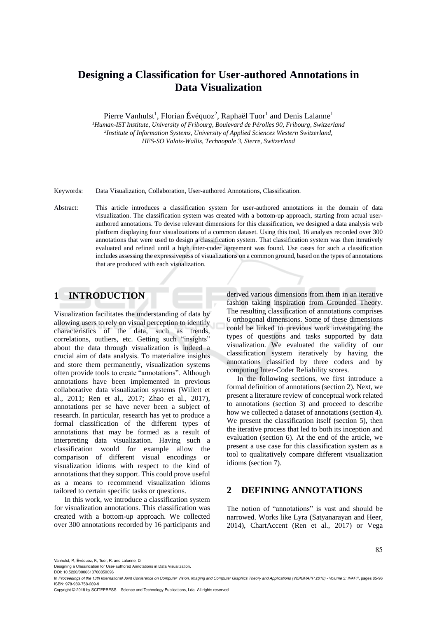# **Designing a Classification for User-authored Annotations in Data Visualization**

Pierre Vanhulst<sup>1</sup>, Florian Évéquoz<sup>2</sup>, Raphaël Tuor<sup>1</sup> and Denis Lalanne<sup>1</sup>

*<sup>1</sup>Human-IST Institute, University of Fribourg, Boulevard de Pérolles 90, Fribourg, Switzerland 2 Institute of Information Systems, University of Applied Sciences Western Switzerland, HES-SO Valais-Wallis, Technopole 3, Sierre, Switzerland*

Keywords: Data Visualization, Collaboration, User-authored Annotations, Classification.

Abstract: This article introduces a classification system for user-authored annotations in the domain of data visualization. The classification system was created with a bottom-up approach, starting from actual userauthored annotations. To devise relevant dimensions for this classification, we designed a data analysis web platform displaying four visualizations of a common dataset. Using this tool, 16 analysts recorded over 300 annotations that were used to design a classification system. That classification system was then iteratively evaluated and refined until a high inter-coder agreement was found. Use cases for such a classification includes assessing the expressiveness of visualizations on a common ground, based on the types of annotations that are produced with each visualization.

# **1 INTRODUCTION**

Visualization facilitates the understanding of data by allowing users to rely on visual perception to identify characteristics of the data, such as trends, correlations, outliers, etc. Getting such "insights" about the data through visualization is indeed a crucial aim of data analysis. To materialize insights and store them permanently, visualization systems often provide tools to create "annotations". Although annotations have been implemented in previous collaborative data visualization systems (Willett et al., 2011; Ren et al., 2017; Zhao et al., 2017), annotations per se have never been a subject of research. In particular, research has yet to produce a formal classification of the different types of annotations that may be formed as a result of interpreting data visualization. Having such a classification would for example allow the comparison of different visual encodings or visualization idioms with respect to the kind of annotations that they support. This could prove useful as a means to recommend visualization idioms tailored to certain specific tasks or questions.

In this work, we introduce a classification system for visualization annotations. This classification was created with a bottom-up approach. We collected over 300 annotations recorded by 16 participants and

derived various dimensions from them in an iterative fashion taking inspiration from Grounded Theory. The resulting classification of annotations comprises 6 orthogonal dimensions. Some of these dimensions could be linked to previous work investigating the types of questions and tasks supported by data visualization. We evaluated the validity of our classification system iteratively by having the annotations classified by three coders and by computing Inter-Coder Reliability scores.

In the following sections, we first introduce a formal definition of annotations (section 2). Next, we present a literature review of conceptual work related to annotations (section 3) and proceed to describe how we collected a dataset of annotations (section 4). We present the classification itself (section 5), then the iterative process that led to both its inception and evaluation (section 6). At the end of the article, we present a use case for this classification system as a tool to qualitatively compare different visualization idioms (section 7).

## **2 DEFINING ANNOTATIONS**

The notion of "annotations" is vast and should be narrowed. Works like Lyra (Satyanarayan and Heer, 2014), ChartAccent (Ren et al., 2017) or Vega

Vanhulst, P., Évéguoz, F., Tuor, B., and Lalanne, D.

In *Proceedings of the 13th International Joint Conference on Computer Vision, Imaging and Computer Graphics Theory and Applications (VISIGRAPP 2018) - Volume 3: IVAPP*, pages 85-96 ISBN: 978-989-758-289-9

Copyright © 2018 by SCITEPRESS – Science and Technology Publications, Lda. All rights reserved

Designing a Classification for User-authored Annotations in Data Visualization.

DOI: 10.5220/0006613700850096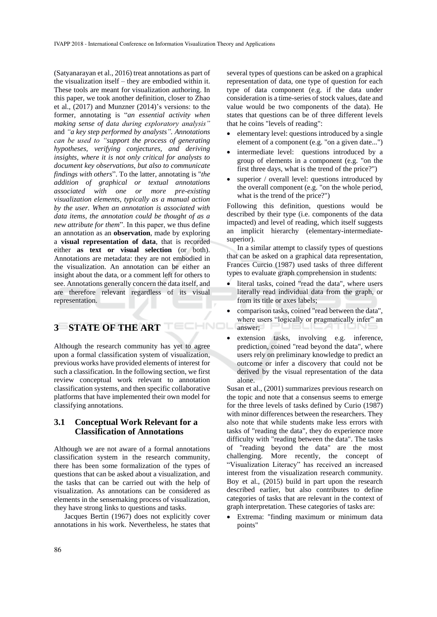(Satyanarayan et al., 2016) treat annotations as part of the visualization itself – they are embodied within it. These tools are meant for visualization authoring. In this paper, we took another definition, closer to Zhao et al., (2017) and Munzner (2014)'s versions: to the former, annotating is "*an essential activity when making sense of data during exploratory analysis"*  and *"a key step performed by analysts". Annotations can be used to "support the process of generating hypotheses, verifying conjectures, and deriving insights, where it is not only critical for analysts to document key observations, but also to communicate findings with others*". To the latter, annotating is "*the addition of graphical or textual annotations associated with one or more pre-existing visualization elements, typically as a manual action by the user. When an annotation is associated with data items, the annotation could be thought of as a new attribute for them*". In this paper, we thus define an annotation as an **observation**, made by exploring a **visual representation of data**, that is recorded either **as text or visual selection** (or both). Annotations are metadata: they are not embodied in the visualization. An annotation can be either an insight about the data, or a comment left for others to see. Annotations generally concern the data itself, and are therefore relevant regardless of its visual representation.

## **3 STATE OF THE ART**

Although the research community has yet to agree upon a formal classification system of visualization, previous works have provided elements of interest for such a classification. In the following section, we first review conceptual work relevant to annotation classification systems, and then specific collaborative platforms that have implemented their own model for classifying annotations.

**CHNO** 

## **3.1 Conceptual Work Relevant for a Classification of Annotations**

Although we are not aware of a formal annotations classification system in the research community, there has been some formalization of the types of questions that can be asked about a visualization, and the tasks that can be carried out with the help of visualization. As annotations can be considered as elements in the sensemaking process of visualization, they have strong links to questions and tasks.

Jacques Bertin (1967) does not explicitly cover annotations in his work. Nevertheless, he states that

several types of questions can be asked on a graphical representation of data, one type of question for each type of data component (e.g. if the data under consideration is a time-series of stock values, date and value would be two components of the data). He states that questions can be of three different levels that he coins "levels of reading":

- elementary level: questions introduced by a single element of a component (e.g. "on a given date...")
- intermediate level: questions introduced by a group of elements in a component (e.g. "on the first three days, what is the trend of the price?")
- superior / overall level: questions introduced by the overall component (e.g. "on the whole period, what is the trend of the price?")

Following this definition, questions would be described by their type (i.e. components of the data impacted) and level of reading, which itself suggests an implicit hierarchy (elementary-intermediatesuperior).

In a similar attempt to classify types of questions that can be asked on a graphical data representation, Frances Curcio (1987) used tasks of three different types to evaluate graph comprehension in students:

- literal tasks, coined "read the data", where users literally read individual data from the graph, or from its title or axes labels;
- comparison tasks, coined "read between the data", where users "logically or pragmatically infer" an answer;
- extension tasks, involving e.g. inference, prediction, coined "read beyond the data", where users rely on preliminary knowledge to predict an outcome or infer a discovery that could not be derived by the visual representation of the data alone.

Susan et al., (2001) summarizes previous research on the topic and note that a consensus seems to emerge for the three levels of tasks defined by Curio (1987) with minor differences between the researchers. They also note that while students make less errors with tasks of "reading the data", they do experience more difficulty with "reading between the data". The tasks of "reading beyond the data" are the most challenging. More recently, the concept of "Visualization Literacy" has received an increased interest from the visualization research community. Boy et al., (2015) build in part upon the research described earlier, but also contributes to define categories of tasks that are relevant in the context of graph interpretation. These categories of tasks are:

• Extrema: "finding maximum or minimum data points"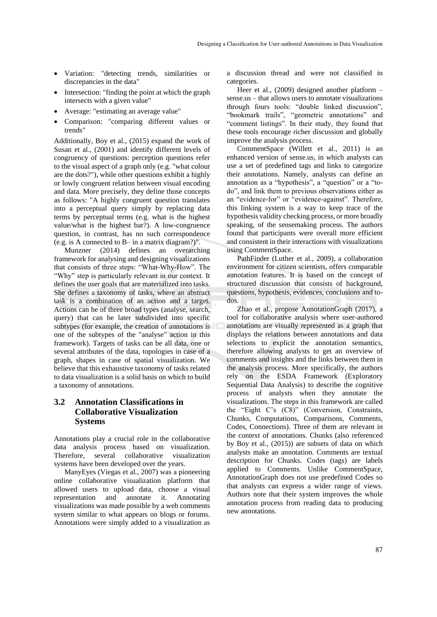- Variation: "detecting trends, similarities or discrepancies in the data"
- Intersection: "finding the point at which the graph intersects with a given value"
- Average: "estimating an average value"
- Comparison: "comparing different values or trends"

Additionally, Boy et al., (2015) expand the work of Susan et al., (2001) and identify different levels of congruency of questions: perception questions refer to the visual aspect of a graph only (e.g. "what colour are the dots?"), while other questions exhibit a highly or lowly congruent relation between visual encoding and data. More precisely, they define those concepts as follows: "A highly congruent question translates into a perceptual query simply by replacing data terms by perceptual terms (e.g. what is the highest value/what is the highest bar?). A low-congruence question, in contrast, has no such correspondence (e.g. is A connected to B– in a matrix diagram?)".

Munzner (2014) defines an overarching framework for analysing and designing visualizations that consists of three steps: "What-Why-How". The "Why" step is particularly relevant in our context. It defines the user goals that are materialized into tasks. She defines a taxonomy of tasks, where an abstract task is a combination of an action and a target. Actions can be of three broad types (analyse, search, query) that can be later subdivided into specific subtypes (for example, the creation of annotations is one of the subtypes of the "analyse" action in this framework). Targets of tasks can be all data, one or several attributes of the data, topologies in case of a graph, shapes in case of spatial visualization. We believe that this exhaustive taxonomy of tasks related to data visualization is a solid basis on which to build a taxonomy of annotations.

## **3.2 Annotation Classifications in Collaborative Visualization Systems**

Annotations play a crucial role in the collaborative data analysis process based on visualization. Therefore, several collaborative visualization systems have been developed over the years.

ManyEyes (Viegas et al*.*, 2007) was a pioneering online collaborative visualization platform that allowed users to upload data, choose a visual representation and annotate it. Annotating visualizations was made possible by a web comments system similar to what appears on blogs or forums. Annotations were simply added to a visualization as

a discussion thread and were not classified in categories.

Heer et al., (2009) designed another platform – sense.us – that allows users to annotate visualizations through fours tools: "double linked discussion", "bookmark trails", "geometric annotations" and "comment listings". In their study, they found that these tools encourage richer discussion and globally improve the analysis process.

CommentSpace (Willett et al., 2011) is an enhanced version of sense.us, in which analysts can use a set of predefined tags and links to categorize their annotations. Namely, analysts can define an annotation as a "hypothesis", a "question" or a "todo", and link them to previous observations either as an "evidence-for" or "evidence-against". Therefore, this linking system is a way to keep trace of the hypothesis validity checking process, or more broadly speaking, of the sensemaking process. The authors found that participants were overall more efficient and consistent in their interactions with visualizations using CommentSpace.

PathFinder (Luther et al., 2009), a collaboration environment for citizen scientists, offers comparable annotation features. It is based on the concept of structured discussion that consists of background, questions, hypothesis, evidences, conclusions and todos.

Zhao et al., propose AnnotationGraph (2017), a tool for collaborative analysis where user-authored annotations are visually represented as a graph that displays the relations between annotations and data selections to explicit the annotation semantics, therefore allowing analysts to get an overview of comments and insights and the links between them in the analysis process. More specifically, the authors rely on the ESDA Framework (Exploratory Sequential Data Analysis) to describe the cognitive process of analysts when they annotate the visualizations. The steps in this framework are called the "Eight C's (C8)" (Conversion, Constraints, Chunks, Computations, Comparisons, Comments, Codes, Connections). Three of them are relevant in the context of annotations. Chunks (also referenced by Boy et al., (2015)) are subsets of data on which analysts make an annotation. Comments are textual description for Chunks. Codes (tags) are labels applied to Comments. Unlike CommentSpace, AnnotationGraph does not use predefined Codes so that analysts can express a wider range of views. Authors note that their system improves the whole annotation process from reading data to producing new annotations.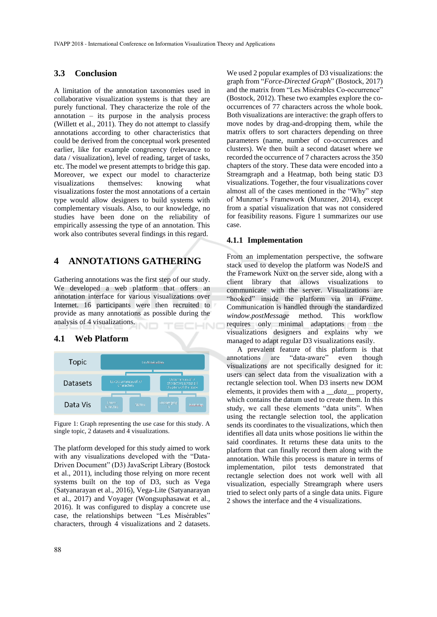### **3.3 Conclusion**

A limitation of the annotation taxonomies used in collaborative visualization systems is that they are purely functional. They characterize the role of the annotation – its purpose in the analysis process (Willett et al., 2011). They do not attempt to classify annotations according to other characteristics that could be derived from the conceptual work presented earlier, like for example congruency (relevance to data / visualization), level of reading, target of tasks, etc. The model we present attempts to bridge this gap. Moreover, we expect our model to characterize visualizations themselves: knowing what visualizations foster the most annotations of a certain type would allow designers to build systems with complementary visuals. Also, to our knowledge, no studies have been done on the reliability of empirically assessing the type of an annotation. This work also contributes several findings in this regard.

## **4 ANNOTATIONS GATHERING**

Gathering annotations was the first step of our study. We developed a web platform that offers an annotation interface for various visualizations over Internet. 16 participants were then recruited to provide as many annotations as possible during the analysis of 4 visualizations.

### **4.1 Web Platform**



Figure 1: Graph representing the use case for this study. A single topic, 2 datasets and 4 visualizations.

The platform developed for this study aimed to work with any visualizations developed with the "Data-Driven Document" (D3) JavaScript Library (Bostock et al., 2011), including those relying on more recent systems built on the top of D3, such as Vega (Satyanarayan et al., 2016), Vega-Lite (Satyanarayan et al., 2017) and Voyager (Wongsuphasawat et al., 2016). It was configured to display a concrete use case, the relationships between "Les Misérables" characters, through 4 visualizations and 2 datasets.

We used 2 popular examples of D3 visualizations: the graph from "*Force-Directed Graph*" (Bostock, 2017) and the matrix from "Les Misérables Co-occurrence" (Bostock, 2012). These two examples explore the cooccurrences of 77 characters across the whole book. Both visualizations are interactive: the graph offers to move nodes by drag-and-dropping them, while the matrix offers to sort characters depending on three parameters (name, number of co-occurrences and clusters). We then built a second dataset where we recorded the occurrence of 7 characters across the 350 chapters of the story. These data were encoded into a Streamgraph and a Heatmap, both being static D3 visualizations. Together, the four visualizations cover almost all of the cases mentioned in the "Why" step of Munzner's Framework (Munzner, 2014), except from a spatial visualization that was not considered for feasibility reasons. Figure 1 summarizes our use case.

### **4.1.1 Implementation**

From an implementation perspective, the software stack used to develop the platform was NodeJS and the Framework Nuxt on the server side, along with a client library that allows visualizations to communicate with the server. Visualizations are "hooked" inside the platform via an *iFrame*. Communication is handled through the standardized *window.postMessage* method. This workflow requires only minimal adaptations from the visualizations designers and explains why we managed to adapt regular D3 visualizations easily.

A prevalent feature of this platform is that annotations are "data-aware" even though visualizations are not specifically designed for it: users can select data from the visualization with a rectangle selection tool. When D3 inserts new DOM elements, it provides them with a *\_\_data\_\_* property, which contains the datum used to create them. In this study, we call these elements "data units". When using the rectangle selection tool, the application sends its coordinates to the visualizations, which then identifies all data units whose positions lie within the said coordinates. It returns these data units to the platform that can finally record them along with the annotation. While this process is mature in terms of implementation, pilot tests demonstrated that rectangle selection does not work well with all visualization, especially Streamgraph where users tried to select only parts of a single data units. Figure 2 shows the interface and the 4 visualizations.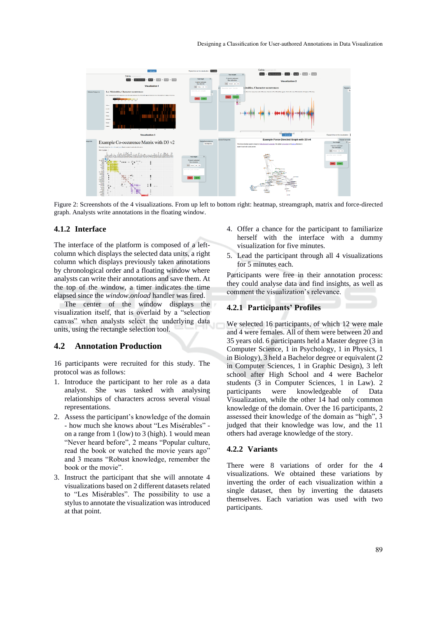

Figure 2: Screenshots of the 4 visualizations. From up left to bottom right: heatmap, streamgraph, matrix and force-directed graph. Analysts write annotations in the floating window.

### **4.1.2 Interface**

The interface of the platform is composed of a leftcolumn which displays the selected data units, a right column which displays previously taken annotations by chronological order and a floating window where analysts can write their annotations and save them. At the top of the window, a timer indicates the time elapsed since the *window.onload* handler was fired.

The center of the window displays the visualization itself, that is overlaid by a "selection canvas" when analysts select the underlying data units, using the rectangle selection tool.

## **4.2 Annotation Production**

16 participants were recruited for this study. The protocol was as follows:

- 1. Introduce the participant to her role as a data analyst. She was tasked with analysing relationships of characters across several visual representations.
- 2. Assess the participant's knowledge of the domain - how much she knows about "Les Misérables" on a range from 1 (low) to 3 (high). 1 would mean "Never heard before", 2 means "Popular culture, read the book or watched the movie years ago" and 3 means "Robust knowledge, remember the book or the movie".
- 3. Instruct the participant that she will annotate 4 visualizations based on 2 different datasets related to "Les Misérables". The possibility to use a stylus to annotate the visualization was introduced at that point.
- 4. Offer a chance for the participant to familiarize herself with the interface with a dummy visualization for five minutes.
- 5. Lead the participant through all 4 visualizations for 5 minutes each.

Participants were free in their annotation process: they could analyse data and find insights, as well as comment the visualization's relevance.

### **4.2.1 Participants' Profiles**

We selected 16 participants, of which 12 were male and 4 were females. All of them were between 20 and 35 years old. 6 participants held a Master degree (3 in Computer Science, 1 in Psychology, 1 in Physics, 1 in Biology), 3 held a Bachelor degree or equivalent (2 in Computer Sciences, 1 in Graphic Design), 3 left school after High School and 4 were Bachelor students (3 in Computer Sciences, 1 in Law). 2 participants were knowledgeable of Data Visualization, while the other 14 had only common knowledge of the domain. Over the 16 participants, 2 assessed their knowledge of the domain as "high", 3 judged that their knowledge was low, and the 11 others had average knowledge of the story.

## **4.2.2 Variants**

There were 8 variations of order for the 4 visualizations. We obtained these variations by inverting the order of each visualization within a single dataset, then by inverting the datasets themselves. Each variation was used with two participants.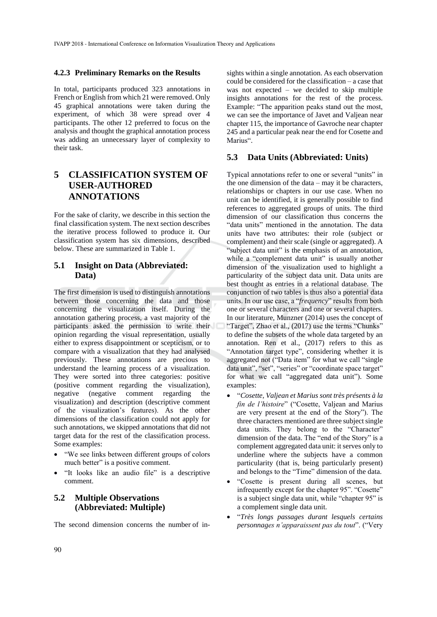#### **4.2.3 Preliminary Remarks on the Results**

In total, participants produced 323 annotations in French or English from which 21 were removed. Only 45 graphical annotations were taken during the experiment, of which 38 were spread over 4 participants. The other 12 preferred to focus on the analysis and thought the graphical annotation process was adding an unnecessary layer of complexity to their task.

# **5 CLASSIFICATION SYSTEM OF USER-AUTHORED ANNOTATIONS**

For the sake of clarity, we describe in this section the final classification system. The next section describes the iterative process followed to produce it. Our classification system has six dimensions, described below. These are summarized in Table 1.

### **5.1 Insight on Data (Abbreviated: Data)**

The first dimension is used to distinguish annotations between those concerning the data and those concerning the visualization itself. During the annotation gathering process, a vast majority of the participants asked the permission to write their opinion regarding the visual representation, usually either to express disappointment or scepticism, or to compare with a visualization that they had analysed previously. These annotations are precious to understand the learning process of a visualization. They were sorted into three categories: positive (positive comment regarding the visualization), negative (negative comment regarding the visualization) and description (descriptive comment of the visualization's features). As the other dimensions of the classification could not apply for such annotations, we skipped annotations that did not target data for the rest of the classification process. Some examples:

- "We see links between different groups of colors much better" is a positive comment.
- "It looks like an audio file" is a descriptive comment.

## **5.2 Multiple Observations (Abbreviated: Multiple)**

The second dimension concerns the number of in-

sights within a single annotation. As each observation could be considered for the classification – a case that was not expected – we decided to skip multiple insights annotations for the rest of the process. Example: "The apparition peaks stand out the most, we can see the importance of Javet and Valjean near chapter 115, the importance of Gavroche near chapter 245 and a particular peak near the end for Cosette and Marius".

### **5.3 Data Units (Abbreviated: Units)**

Typical annotations refer to one or several "units" in the one dimension of the data – may it be characters. relationships or chapters in our use case. When no unit can be identified, it is generally possible to find references to aggregated groups of units. The third dimension of our classification thus concerns the "data units" mentioned in the annotation. The data units have two attributes: their role (subject or complement) and their scale (single or aggregated). A "subject data unit" is the emphasis of an annotation, while a "complement data unit" is usually another dimension of the visualization used to highlight a particularity of the subject data unit. Data units are best thought as entries in a relational database. The conjunction of two tables is thus also a potential data units. In our use case, a "*frequency*" results from both one or several characters and one or several chapters. In our literature, Munzner (2014) uses the concept of "Target", Zhao et al., (2017) use the terms "Chunks" to define the subsets of the whole data targeted by an annotation. Ren et al., (2017) refers to this as "Annotation target type", considering whether it is aggregated not ("Data item" for what we call "single data unit", "set", "series" or "coordinate space target" for what we call "aggregated data unit"). Some examples:

- "*Cosette, Valjean et Marius sont très présents à la fin de l'histoire*" ("Cosette, Valjean and Marius are very present at the end of the Story"). The three characters mentioned are three subject single data units. They belong to the "Character" dimension of the data. The "end of the Story" is a complement aggregated data unit: it serves only to underline where the subjects have a common particularity (that is, being particularly present) and belongs to the "Time" dimension of the data.
- "Cosette is present during all scenes, but infrequently except for the chapter 95". "Cosette" is a subject single data unit, while "chapter 95" is a complement single data unit.
- "*Très longs passages durant lesquels certains personnages n'apparaissent pas du tout*". ("Very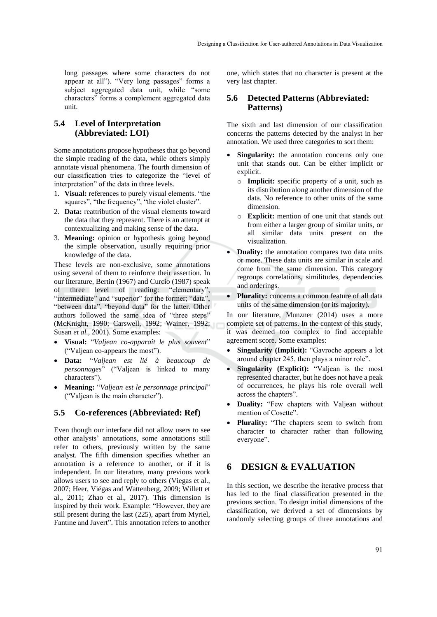long passages where some characters do not appear at all"). "Very long passages" forms a subject aggregated data unit, while "some characters" forms a complement aggregated data unit.

## **5.4 Level of Interpretation (Abbreviated: LOI)**

Some annotations propose hypotheses that go beyond the simple reading of the data, while others simply annotate visual phenomena. The fourth dimension of our classification tries to categorize the "level of interpretation" of the data in three levels.

- 1. **Visual:** references to purely visual elements. "the squares", "the frequency", "the violet cluster".
- 2. **Data:** reattribution of the visual elements toward the data that they represent. There is an attempt at contextualizing and making sense of the data.
- 3. **Meaning:** opinion or hypothesis going beyond the simple observation, usually requiring prior knowledge of the data.

These levels are non-exclusive, some annotations using several of them to reinforce their assertion. In our literature, Bertin (1967) and Curcio (1987) speak of three level of reading: "elementary", "intermediate" and "superior" for the former; "data", "between data", "beyond data" for the latter. Other authors followed the same idea of "three steps" (McKnight, 1990; Carswell, 1992; Wainer, 1992; Susan *et al.*, 2001). Some examples:

- **Visual:** "*Valjean co-apparaît le plus souvent*" ("Valjean co-appears the most").
- **Data:** "*Valjean est lié à beaucoup de personnages*" ("Valjean is linked to many characters").
- **Meaning:** "*Valjean est le personnage principal*" ("Valjean is the main character").

## **5.5 Co-references (Abbreviated: Ref)**

Even though our interface did not allow users to see other analysts' annotations, some annotations still refer to others, previously written by the same analyst. The fifth dimension specifies whether an annotation is a reference to another, or if it is independent. In our literature, many previous work allows users to see and reply to others (Viegas et al., 2007; Heer, Viégas and Wattenberg, 2009; Willett et al., 2011; Zhao et al., 2017). This dimension is inspired by their work. Example: "However, they are still present during the last (225), apart from Myriel, Fantine and Javert". This annotation refers to another one, which states that no character is present at the very last chapter.

### **5.6 Detected Patterns (Abbreviated: Patterns)**

The sixth and last dimension of our classification concerns the patterns detected by the analyst in her annotation. We used three categories to sort them:

- Singularity: the annotation concerns only one unit that stands out. Can be either implicit or explicit.
	- o **Implicit:** specific property of a unit, such as its distribution along another dimension of the data. No reference to other units of the same dimension.
	- o **Explicit:** mention of one unit that stands out from either a larger group of similar units, or all similar data units present on the visualization.
- **Duality:** the annotation compares two data units or more. These data units are similar in scale and come from the same dimension. This category regroups correlations, similitudes, dependencies and orderings.
- **Plurality:** concerns a common feature of all data units of the same dimension (or its majority).

In our literature, Munzner (2014) uses a more complete set of patterns. In the context of this study, it was deemed too complex to find acceptable agreement score. Some examples:

- **Singularity (Implicit):** "Gavroche appears a lot around chapter 245, then plays a minor role".
- Singularity (Explicit): "Valjean is the most represented character, but he does not have a peak of occurrences, he plays his role overall well across the chapters".
- **Duality:** "Few chapters with Valjean without mention of Cosette".
- Plurality: "The chapters seem to switch from character to character rather than following everyone".

# **6 DESIGN & EVALUATION**

In this section, we describe the iterative process that has led to the final classification presented in the previous section. To design initial dimensions of the classification, we derived a set of dimensions by randomly selecting groups of three annotations and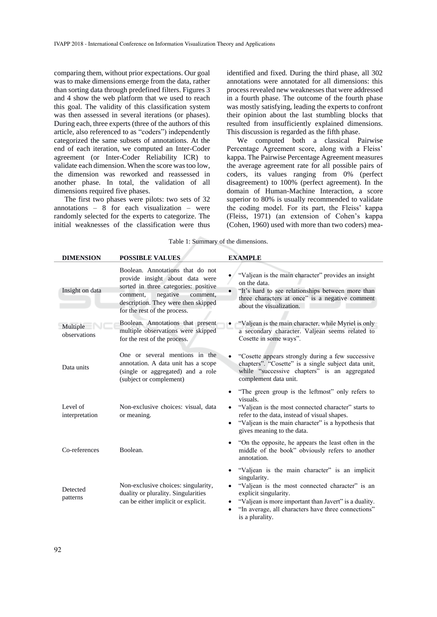comparing them, without prior expectations. Our goal was to make dimensions emerge from the data, rather than sorting data through predefined filters. Figures 3 and 4 show the web platform that we used to reach this goal. The validity of this classification system was then assessed in several iterations (or phases). During each, three experts (three of the authors of this article, also referenced to as "coders") independently categorized the same subsets of annotations. At the end of each iteration, we computed an Inter-Coder agreement (or Inter-Coder Reliability ICR) to validate each dimension. When the score was too low, the dimension was reworked and reassessed in another phase. In total, the validation of all dimensions required five phases.

The first two phases were pilots: two sets of 32 annotations – 8 for each visualization – were randomly selected for the experts to categorize. The initial weaknesses of the classification were thus

identified and fixed. During the third phase, all 302 annotations were annotated for all dimensions: this process revealed new weaknesses that were addressed in a fourth phase. The outcome of the fourth phase was mostly satisfying, leading the experts to confront their opinion about the last stumbling blocks that resulted from insufficiently explained dimensions. This discussion is regarded as the fifth phase.

We computed both a classical Pairwise Percentage Agreement score, along with a Fleiss' kappa. The Pairwise Percentage Agreement measures the average agreement rate for all possible pairs of coders, its values ranging from 0% (perfect disagreement) to 100% (perfect agreement). In the domain of Human-Machine Interaction, a score superior to 80% is usually recommended to validate the coding model. For its part, the Fleiss' kappa (Fleiss, 1971) (an extension of Cohen's kappa (Cohen, 1960) used with more than two coders) mea-

Table 1: Summary of the dimensions.

| <b>DIMENSION</b>           | <b>POSSIBLE VALUES</b>                                                                                                                                                                                                 | <b>EXAMPLE</b>                                                                                                                                                                                                                                                                                          |
|----------------------------|------------------------------------------------------------------------------------------------------------------------------------------------------------------------------------------------------------------------|---------------------------------------------------------------------------------------------------------------------------------------------------------------------------------------------------------------------------------------------------------------------------------------------------------|
| Insight on data            | Boolean. Annotations that do not<br>provide insight about data were<br>sorted in three categories: positive<br>negative<br>comment,<br>comment,<br>description. They were then skipped<br>for the rest of the process. | "Valjean is the main character" provides an insight<br>on the data.<br>"It's hard to see relationships between more than<br>three characters at once" is a negative comment<br>about the visualization.                                                                                                 |
| Multiple<br>observations   | Boolean. Annotations that present<br>multiple observations were skipped<br>for the rest of the process.                                                                                                                | "Valjean is the main character, while Myriel is only<br>a secondary character. Valjean seems related to<br>Cosette in some ways".                                                                                                                                                                       |
| Data units                 | One or several mentions in the<br>annotation. A data unit has a scope<br>(single or aggregated) and a role<br>(subject or complement)                                                                                  | "Cosette appears strongly during a few successive<br>chapters". "Cosette" is a single subject data unit,<br>while "successive chapters" is an aggregated<br>complement data unit.                                                                                                                       |
| Level of<br>interpretation | Non-exclusive choices: visual, data<br>or meaning.                                                                                                                                                                     | "The green group is the leftmost" only refers to<br>visuals.<br>"Valjean is the most connected character" starts to<br>refer to the data, instead of visual shapes.<br>"Valjean is the main character" is a hypothesis that<br>$\bullet$<br>gives meaning to the data.                                  |
| Co-references              | Boolean.                                                                                                                                                                                                               | "On the opposite, he appears the least often in the<br>middle of the book" obviously refers to another<br>annotation.                                                                                                                                                                                   |
| Detected<br>patterns       | Non-exclusive choices: singularity,<br>duality or plurality. Singularities<br>can be either implicit or explicit.                                                                                                      | "Valjean is the main character" is an implicit<br>singularity.<br>"Valjean is the most connected character" is an<br>$\bullet$<br>explicit singularity.<br>"Valjean is more important than Javert" is a duality.<br>$\bullet$<br>"In average, all characters have three connections"<br>is a plurality. |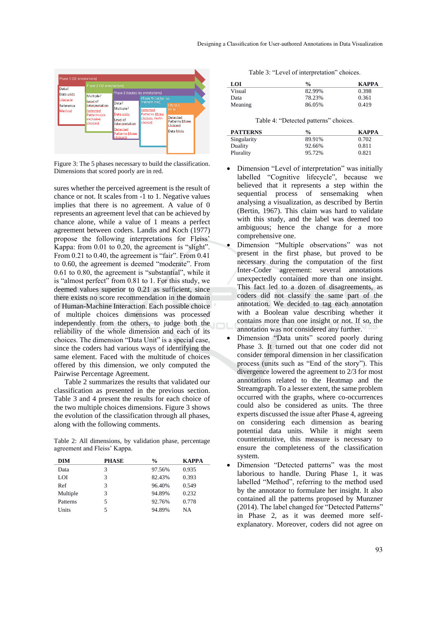

Figure 3: The 5 phases necessary to build the classification. Dimensions that scored poorly are in red.

sures whether the perceived agreement is the result of chance or not. It scales from -1 to 1. Negative values implies that there is no agreement. A value of 0 represents an agreement level that can be achieved by chance alone, while a value of 1 means a perfect agreement between coders. Landis and Koch (1977) propose the following interpretations for Fleiss' Kappa: from 0.01 to 0.20, the agreement is "slight". From 0.21 to 0.40, the agreement is "fair". From 0.41 to 0.60, the agreement is deemed "moderate". From 0.61 to 0.80, the agreement is "substantial", while it is "almost perfect" from 0.81 to 1. For this study, we deemed values superior to 0.21 as sufficient, since there exists no score recommendation in the domain of Human-Machine Interaction. Each possible choice of multiple choices dimensions was processed independently from the others, to judge both the reliability of the whole dimension and each of its choices. The dimension "Data Unit" is a special case, since the coders had various ways of identifying the same element. Faced with the multitude of choices offered by this dimension, we only computed the Pairwise Percentage Agreement.

Table 2 summarizes the results that validated our classification as presented in the previous section. Table 3 and 4 present the results for each choice of the two multiple choices dimensions. Figure 3 shows the evolution of the classification through all phases, along with the following comments.

Table 2: All dimensions, by validation phase, percentage agreement and Fleiss' Kappa.

| <b>DIM</b> | PHASE | $\frac{0}{0}$ | <b>KAPPA</b> |
|------------|-------|---------------|--------------|
| Data       | 3     | 97.56%        | 0.935        |
| LOI        | 3     | 82.43%        | 0.393        |
| Ref        | 3     | 96.40%        | 0.549        |
| Multiple   | 3     | 94.89%        | 0.232        |
| Patterns   | 5     | 92.76%        | 0.778        |
| Units      | 5     | 94.89%        | NA           |

Table 3: "Level of interpretation" choices.

| LOI     | $\frac{0}{0}$ | <b>KAPPA</b> |
|---------|---------------|--------------|
| Visual  | 82.99%        | 0.398        |
| Data    | 78.23%        | 0.361        |
| Meaning | 86.05%        | 0.419        |

Table 4: "Detected patterns" choices.

| <b>PATTERNS</b> | $\frac{0}{0}$ | <b>KAPPA</b> |
|-----------------|---------------|--------------|
| Singularity     | 89.91%        | 0.702        |
| Duality         | 92.66%        | 0.811        |
| Plurality       | 95.72%        | 0.821        |

- Dimension "Level of interpretation" was initially labelled "Cognitive lifecycle", because we believed that it represents a step within the sequential process of sensemaking when analysing a visualization, as described by Bertin (Bertin, 1967). This claim was hard to validate with this study, and the label was deemed too ambiguous; hence the change for a more comprehensive one.
- Dimension "Multiple observations" was not present in the first phase, but proved to be necessary during the computation of the first Inter-Coder agreement: several annotations unexpectedly contained more than one insight. This fact led to a dozen of disagreements, as coders did not classify the same part of the annotation. We decided to tag each annotation with a Boolean value describing whether it contains more than one insight or not. If so, the annotation was not considered any further.
- Dimension "Data units" scored poorly during Phase 3. It turned out that one coder did not consider temporal dimension in her classification process (units such as "End of the story"). This divergence lowered the agreement to 2/3 for most annotations related to the Heatmap and the Streamgraph. To a lesser extent, the same problem occurred with the graphs, where co-occurrences could also be considered as units. The three experts discussed the issue after Phase 4, agreeing on considering each dimension as bearing potential data units. While it might seem counterintuitive, this measure is necessary to ensure the completeness of the classification system.
- Dimension "Detected patterns" was the most laborious to handle. During Phase 1, it was labelled "Method", referring to the method used by the annotator to formulate her insight. It also contained all the patterns proposed by Munzner (2014). The label changed for "Detected Patterns" in Phase 2, as it was deemed more selfexplanatory. Moreover, coders did not agree on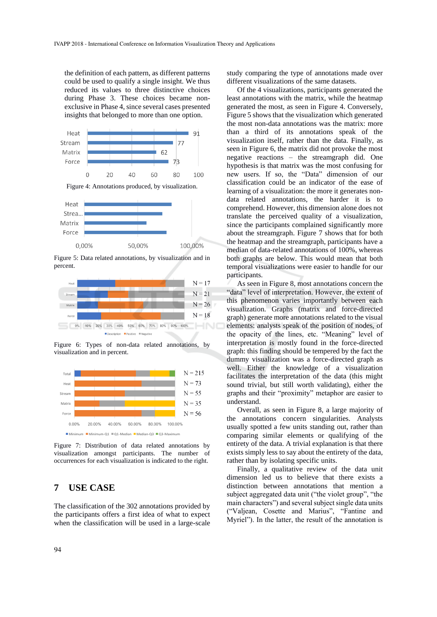the definition of each pattern, as different patterns could be used to qualify a single insight. We thus reduced its values to three distinctive choices during Phase 3. These choices became nonexclusive in Phase 4, since several cases presented insights that belonged to more than one option.







Figure 5: Data related annotations, by visualization and in percent.



Figure 6: Types of non-data related annotations, by visualization and in percent.



Figure 7: Distribution of data related annotations by visualization amongst participants. The number of occurrences for each visualization is indicated to the right.

## **7 USE CASE**

The classification of the 302 annotations provided by the participants offers a first idea of what to expect when the classification will be used in a large-scale

study comparing the type of annotations made over different visualizations of the same datasets.

Of the 4 visualizations, participants generated the least annotations with the matrix, while the heatmap generated the most, as seen in Figure 4. Conversely, Figure 5 shows that the visualization which generated the most non-data annotations was the matrix: more than a third of its annotations speak of the visualization itself, rather than the data. Finally, as seen in Figure 6, the matrix did not provoke the most negative reactions – the streamgraph did. One hypothesis is that matrix was the most confusing for new users. If so, the "Data" dimension of our classification could be an indicator of the ease of learning of a visualization: the more it generates nondata related annotations, the harder it is to comprehend. However, this dimension alone does not translate the perceived quality of a visualization, since the participants complained significantly more about the streamgraph. Figure 7 shows that for both the heatmap and the streamgraph, participants have a median of data-related annotations of 100%, whereas both graphs are below. This would mean that both temporal visualizations were easier to handle for our participants.

As seen in Figure 8, most annotations concern the "data" level of interpretation. However, the extent of this phenomenon varies importantly between each visualization. Graphs (matrix and force-directed graph) generate more annotations related to the visual elements: analysts speak of the position of nodes, of the opacity of the lines, etc. "Meaning" level of interpretation is mostly found in the force-directed graph: this finding should be tempered by the fact the dummy visualization was a force-directed graph as well. Either the knowledge of a visualization facilitates the interpretation of the data (this might sound trivial, but still worth validating), either the graphs and their "proximity" metaphor are easier to understand.

Overall, as seen in Figure 8, a large majority of the annotations concern singularities. Analysts usually spotted a few units standing out, rather than comparing similar elements or qualifying of the entirety of the data. A trivial explanation is that there exists simply less to say about the entirety of the data, rather than by isolating specific units.

Finally, a qualitative review of the data unit dimension led us to believe that there exists a distinction between annotations that mention a subject aggregated data unit ("the violet group", "the main characters") and several subject single data units ("Valjean, Cosette and Marius", "Fantine and Myriel"). In the latter, the result of the annotation is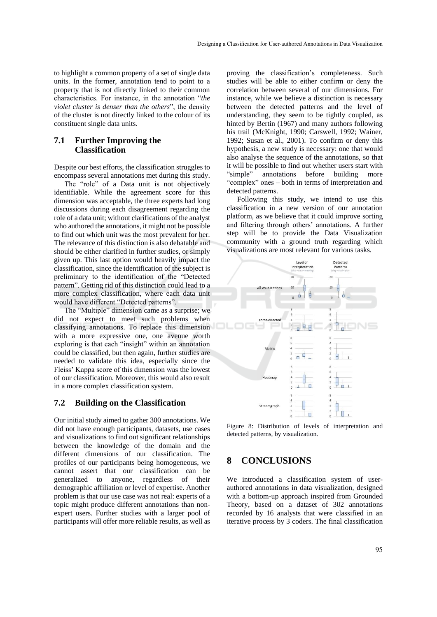to highlight a common property of a set of single data units. In the former, annotation tend to point to a property that is not directly linked to their common characteristics. For instance, in the annotation "*the violet cluster is denser than the others*", the density of the cluster is not directly linked to the colour of its constituent single data units.

## **7.1 Further Improving the Classification**

Despite our best efforts, the classification struggles to encompass several annotations met during this study.

The "role" of a Data unit is not objectively identifiable. While the agreement score for this dimension was acceptable, the three experts had long discussions during each disagreement regarding the role of a data unit; without clarifications of the analyst who authored the annotations, it might not be possible to find out which unit was the most prevalent for her. The relevance of this distinction is also debatable and should be either clarified in further studies, or simply given up. This last option would heavily impact the classification, since the identification of the subject is preliminary to the identification of the "Detected pattern". Getting rid of this distinction could lead to a more complex classification, where each data unit would have different "Detected patterns".

The "Multiple" dimension came as a surprise; we did not expect to meet such problems when classifying annotations. To replace this dimension with a more expressive one, one avenue worth exploring is that each "insight" within an annotation could be classified, but then again, further studies are needed to validate this idea, especially since the Fleiss' Kappa score of this dimension was the lowest of our classification. Moreover, this would also result in a more complex classification system.

### **7.2 Building on the Classification**

Our initial study aimed to gather 300 annotations. We did not have enough participants, datasets, use cases and visualizations to find out significant relationships between the knowledge of the domain and the different dimensions of our classification. The profiles of our participants being homogeneous, we cannot assert that our classification can be generalized to anyone, regardless of their demographic affiliation or level of expertise. Another problem is that our use case was not real: experts of a topic might produce different annotations than nonexpert users. Further studies with a larger pool of participants will offer more reliable results, as well as

proving the classification's completeness. Such studies will be able to either confirm or deny the correlation between several of our dimensions. For instance, while we believe a distinction is necessary between the detected patterns and the level of understanding, they seem to be tightly coupled, as hinted by Bertin (1967) and many authors following his trail (McKnight, 1990; Carswell, 1992; Wainer, 1992; Susan et al., 2001). To confirm or deny this hypothesis, a new study is necessary: one that would also analyse the sequence of the annotations, so that it will be possible to find out whether users start with "simple" annotations before building more "complex" ones – both in terms of interpretation and detected patterns.

Following this study, we intend to use this classification in a new version of our annotation platform, as we believe that it could improve sorting and filtering through others' annotations. A further step will be to provide the Data Visualization community with a ground truth regarding which visualizations are most relevant for various tasks.



Figure 8: Distribution of levels of interpretation and detected patterns, by visualization.

## **8 CONCLUSIONS**

We introduced a classification system of userauthored annotations in data visualization, designed with a bottom-up approach inspired from Grounded Theory, based on a dataset of 302 annotations recorded by 16 analysts that were classified in an iterative process by 3 coders. The final classification